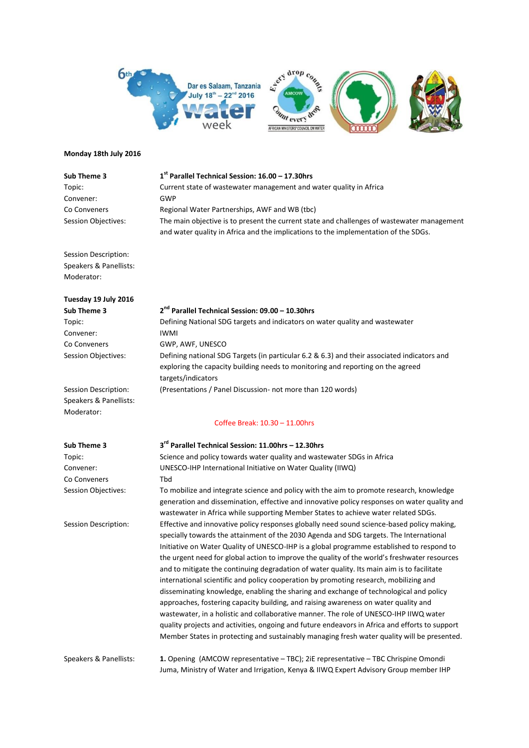

## **Monday 18th July 2016**

| Sub Theme 3                | 1 <sup>st</sup> Parallel Technical Session: 16.00 - 17.30hrs                                                                                                                      |
|----------------------------|-----------------------------------------------------------------------------------------------------------------------------------------------------------------------------------|
| Topic:                     | Current state of wastewater management and water quality in Africa                                                                                                                |
| Convener:                  | GWP                                                                                                                                                                               |
| Co Conveners               | Regional Water Partnerships, AWF and WB (tbc)                                                                                                                                     |
| <b>Session Objectives:</b> | The main objective is to present the current state and challenges of wastewater management<br>and water quality in Africa and the implications to the implementation of the SDGs. |

Session Description: Speakers & Panellists: Moderator:

| Tuesday 19 July 2016       |                                                                                                                                                                                                      |
|----------------------------|------------------------------------------------------------------------------------------------------------------------------------------------------------------------------------------------------|
| Sub Theme 3                | 2 <sup>nd</sup> Parallel Technical Session: 09.00 - 10.30hrs                                                                                                                                         |
| Topic:                     | Defining National SDG targets and indicators on water quality and wastewater                                                                                                                         |
| Convener:                  | <b>IWMI</b>                                                                                                                                                                                          |
| Co Conveners               | GWP, AWF, UNESCO                                                                                                                                                                                     |
| <b>Session Objectives:</b> | Defining national SDG Targets (in particular 6.2 & 6.3) and their associated indicators and<br>exploring the capacity building needs to monitoring and reporting on the agreed<br>targets/indicators |
| Session Description:       | (Presentations / Panel Discussion- not more than 120 words)                                                                                                                                          |
| Speakers & Panellists:     |                                                                                                                                                                                                      |
| Moderator:                 |                                                                                                                                                                                                      |

## Coffee Break: 10.30 – 11.00hrs

| Sub Theme 3            | 3 <sup>rd</sup> Parallel Technical Session: 11.00hrs - 12.30hrs                                                                                                                                                                                                                                                                                                                                                                                                                                                                                                                                                                                                                                                                                                                                                                                                                                                                                                                                                                                     |
|------------------------|-----------------------------------------------------------------------------------------------------------------------------------------------------------------------------------------------------------------------------------------------------------------------------------------------------------------------------------------------------------------------------------------------------------------------------------------------------------------------------------------------------------------------------------------------------------------------------------------------------------------------------------------------------------------------------------------------------------------------------------------------------------------------------------------------------------------------------------------------------------------------------------------------------------------------------------------------------------------------------------------------------------------------------------------------------|
| Topic:                 | Science and policy towards water quality and wastewater SDGs in Africa                                                                                                                                                                                                                                                                                                                                                                                                                                                                                                                                                                                                                                                                                                                                                                                                                                                                                                                                                                              |
| Convener:              | UNESCO-IHP International Initiative on Water Quality (IIWQ)                                                                                                                                                                                                                                                                                                                                                                                                                                                                                                                                                                                                                                                                                                                                                                                                                                                                                                                                                                                         |
| Co Conveners           | Tbd                                                                                                                                                                                                                                                                                                                                                                                                                                                                                                                                                                                                                                                                                                                                                                                                                                                                                                                                                                                                                                                 |
| Session Objectives:    | To mobilize and integrate science and policy with the aim to promote research, knowledge<br>generation and dissemination, effective and innovative policy responses on water quality and<br>wastewater in Africa while supporting Member States to achieve water related SDGs.                                                                                                                                                                                                                                                                                                                                                                                                                                                                                                                                                                                                                                                                                                                                                                      |
| Session Description:   | Effective and innovative policy responses globally need sound science-based policy making,<br>specially towards the attainment of the 2030 Agenda and SDG targets. The International<br>Initiative on Water Quality of UNESCO-IHP is a global programme established to respond to<br>the urgent need for global action to improve the quality of the world's freshwater resources<br>and to mitigate the continuing degradation of water quality. Its main aim is to facilitate<br>international scientific and policy cooperation by promoting research, mobilizing and<br>disseminating knowledge, enabling the sharing and exchange of technological and policy<br>approaches, fostering capacity building, and raising awareness on water quality and<br>wastewater, in a holistic and collaborative manner. The role of UNESCO-IHP IIWQ water<br>quality projects and activities, ongoing and future endeavors in Africa and efforts to support<br>Member States in protecting and sustainably managing fresh water quality will be presented. |
| Speakers & Panellists: | 1. Opening (AMCOW representative - TBC); 2iE representative - TBC Chrispine Omondi<br>Juma, Ministry of Water and Irrigation, Kenya & IIWQ Expert Advisory Group member IHP                                                                                                                                                                                                                                                                                                                                                                                                                                                                                                                                                                                                                                                                                                                                                                                                                                                                         |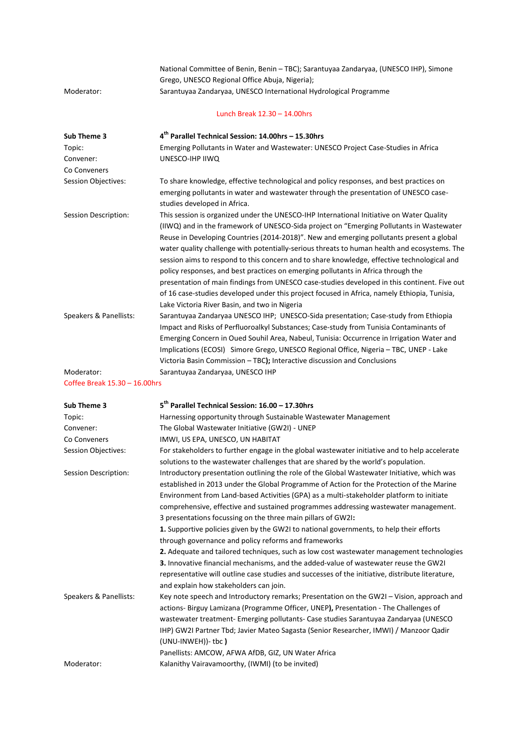|                               | National Committee of Benin, Benin - TBC); Sarantuyaa Zandaryaa, (UNESCO IHP), Simone                                |
|-------------------------------|----------------------------------------------------------------------------------------------------------------------|
|                               | Grego, UNESCO Regional Office Abuja, Nigeria);                                                                       |
| Moderator:                    | Sarantuyaa Zandaryaa, UNESCO International Hydrological Programme                                                    |
|                               | Lunch Break 12.30 - 14.00hrs                                                                                         |
| Sub Theme 3                   | 4 <sup>th</sup> Parallel Technical Session: 14.00hrs - 15.30hrs                                                      |
| Topic:                        | Emerging Pollutants in Water and Wastewater: UNESCO Project Case-Studies in Africa                                   |
| Convener:                     | UNESCO-IHP IIWQ                                                                                                      |
| Co Conveners                  |                                                                                                                      |
| <b>Session Objectives:</b>    | To share knowledge, effective technological and policy responses, and best practices on                              |
|                               | emerging pollutants in water and wastewater through the presentation of UNESCO case-<br>studies developed in Africa. |
| Session Description:          | This session is organized under the UNESCO-IHP International Initiative on Water Quality                             |
|                               | (IIWQ) and in the framework of UNESCO-Sida project on "Emerging Pollutants in Wastewater                             |
|                               | Reuse in Developing Countries (2014-2018)". New and emerging pollutants present a global                             |
|                               | water quality challenge with potentially-serious threats to human health and ecosystems. The                         |
|                               | session aims to respond to this concern and to share knowledge, effective technological and                          |
|                               | policy responses, and best practices on emerging pollutants in Africa through the                                    |
|                               | presentation of main findings from UNESCO case-studies developed in this continent. Five out                         |
|                               | of 16 case-studies developed under this project focused in Africa, namely Ethiopia, Tunisia,                         |
|                               | Lake Victoria River Basin, and two in Nigeria                                                                        |
| Speakers & Panellists:        | Sarantuyaa Zandaryaa UNESCO IHP; UNESCO-Sida presentation; Case-study from Ethiopia                                  |
|                               | Impact and Risks of Perfluoroalkyl Substances; Case-study from Tunisia Contaminants of                               |
|                               | Emerging Concern in Oued Souhil Area, Nabeul, Tunisia: Occurrence in Irrigation Water and                            |
|                               | Implications (ECOSI) Simore Grego, UNESCO Regional Office, Nigeria - TBC, UNEP - Lake                                |
|                               | Victoria Basin Commission - TBC); Interactive discussion and Conclusions                                             |
| Moderator:                    | Sarantuyaa Zandaryaa, UNESCO IHP                                                                                     |
| Coffee Break 15.30 - 16.00hrs |                                                                                                                      |
| Sub Theme 3                   | 5 <sup>th</sup> Parallel Technical Session: 16.00 - 17.30hrs                                                         |
| Topic:                        | Harnessing opportunity through Sustainable Wastewater Management                                                     |
| Convener:                     | The Global Wastewater Initiative (GW2I) - UNEP                                                                       |
| Co Conveners                  | IMWI, US EPA, UNESCO, UN HABITAT                                                                                     |
| Session Objectives:           | For stakeholders to further engage in the global wastewater initiative and to help accelerate                        |
|                               | solutions to the wastewater challenges that are shared by the world's population.                                    |
| Session Description:          | Introductory presentation outlining the role of the Global Wastewater Initiative, which was                          |
|                               | established in 2013 under the Global Programme of Action for the Protection of the Marine                            |

| Sub Theme 3                | 5 <sup>th</sup> Parallel Technical Session: 16.00 - 17.30hrs                                     |
|----------------------------|--------------------------------------------------------------------------------------------------|
| Topic:                     | Harnessing opportunity through Sustainable Wastewater Management                                 |
| Convener:                  | The Global Wastewater Initiative (GW2I) - UNEP                                                   |
| Co Conveners               | IMWI, US EPA, UNESCO, UN HABITAT                                                                 |
| <b>Session Objectives:</b> | For stakeholders to further engage in the global wastewater initiative and to help accelerate    |
|                            | solutions to the wastewater challenges that are shared by the world's population.                |
| Session Description:       | Introductory presentation outlining the role of the Global Wastewater Initiative, which was      |
|                            | established in 2013 under the Global Programme of Action for the Protection of the Marine        |
|                            | Environment from Land-based Activities (GPA) as a multi-stakeholder platform to initiate         |
|                            | comprehensive, effective and sustained programmes addressing wastewater management.              |
|                            | 3 presentations focussing on the three main pillars of GW2I:                                     |
|                            | 1. Supportive policies given by the GW2I to national governments, to help their efforts          |
|                            | through governance and policy reforms and frameworks                                             |
|                            | 2. Adequate and tailored techniques, such as low cost wastewater management technologies         |
|                            | 3. Innovative financial mechanisms, and the added-value of wastewater reuse the GW2I             |
|                            | representative will outline case studies and successes of the initiative, distribute literature, |
|                            | and explain how stakeholders can join.                                                           |
| Speakers & Panellists:     | Key note speech and Introductory remarks; Presentation on the GW2I - Vision, approach and        |
|                            | actions- Birguy Lamizana (Programme Officer, UNEP), Presentation - The Challenges of             |
|                            | wastewater treatment- Emerging pollutants- Case studies Sarantuyaa Zandaryaa (UNESCO             |
|                            | IHP) GW2I Partner Tbd; Javier Mateo Sagasta (Senior Researcher, IMWI) / Manzoor Qadir            |
|                            | (UNU-INWEH))- tbc)                                                                               |
|                            | Panellists: AMCOW, AFWA AfDB, GIZ, UN Water Africa                                               |
| Moderator:                 | Kalanithy Vairavamoorthy, (IWMI) (to be invited)                                                 |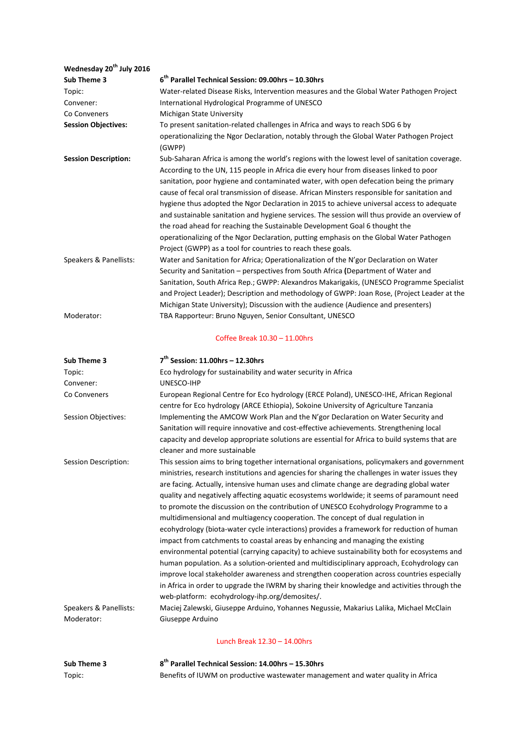| Wednesday 20 <sup>th</sup> July 2016 |                                                                                                                                                                                                                                                                                                                                                                                                                                                                                                                                                                                                                                                                                                                                                                                                                                                                                                                                                                                                                                                                                                                                                                                                |
|--------------------------------------|------------------------------------------------------------------------------------------------------------------------------------------------------------------------------------------------------------------------------------------------------------------------------------------------------------------------------------------------------------------------------------------------------------------------------------------------------------------------------------------------------------------------------------------------------------------------------------------------------------------------------------------------------------------------------------------------------------------------------------------------------------------------------------------------------------------------------------------------------------------------------------------------------------------------------------------------------------------------------------------------------------------------------------------------------------------------------------------------------------------------------------------------------------------------------------------------|
| Sub Theme 3                          | 6 <sup>th</sup> Parallel Technical Session: 09.00hrs - 10.30hrs                                                                                                                                                                                                                                                                                                                                                                                                                                                                                                                                                                                                                                                                                                                                                                                                                                                                                                                                                                                                                                                                                                                                |
| Topic:                               | Water-related Disease Risks, Intervention measures and the Global Water Pathogen Project                                                                                                                                                                                                                                                                                                                                                                                                                                                                                                                                                                                                                                                                                                                                                                                                                                                                                                                                                                                                                                                                                                       |
| Convener:                            | International Hydrological Programme of UNESCO                                                                                                                                                                                                                                                                                                                                                                                                                                                                                                                                                                                                                                                                                                                                                                                                                                                                                                                                                                                                                                                                                                                                                 |
| Co Conveners                         | Michigan State University                                                                                                                                                                                                                                                                                                                                                                                                                                                                                                                                                                                                                                                                                                                                                                                                                                                                                                                                                                                                                                                                                                                                                                      |
| <b>Session Objectives:</b>           | To present sanitation-related challenges in Africa and ways to reach SDG 6 by                                                                                                                                                                                                                                                                                                                                                                                                                                                                                                                                                                                                                                                                                                                                                                                                                                                                                                                                                                                                                                                                                                                  |
|                                      | operationalizing the Ngor Declaration, notably through the Global Water Pathogen Project<br>(GWPP)                                                                                                                                                                                                                                                                                                                                                                                                                                                                                                                                                                                                                                                                                                                                                                                                                                                                                                                                                                                                                                                                                             |
| <b>Session Description:</b>          | Sub-Saharan Africa is among the world's regions with the lowest level of sanitation coverage.<br>According to the UN, 115 people in Africa die every hour from diseases linked to poor<br>sanitation, poor hygiene and contaminated water, with open defecation being the primary<br>cause of fecal oral transmission of disease. African Minsters responsible for sanitation and<br>hygiene thus adopted the Ngor Declaration in 2015 to achieve universal access to adequate<br>and sustainable sanitation and hygiene services. The session will thus provide an overview of<br>the road ahead for reaching the Sustainable Development Goal 6 thought the<br>operationalizing of the Ngor Declaration, putting emphasis on the Global Water Pathogen<br>Project (GWPP) as a tool for countries to reach these goals.                                                                                                                                                                                                                                                                                                                                                                       |
| Speakers & Panellists:               | Water and Sanitation for Africa; Operationalization of the N'gor Declaration on Water<br>Security and Sanitation - perspectives from South Africa (Department of Water and<br>Sanitation, South Africa Rep.; GWPP: Alexandros Makarigakis, (UNESCO Programme Specialist<br>and Project Leader); Description and methodology of GWPP: Joan Rose, (Project Leader at the<br>Michigan State University); Discussion with the audience (Audience and presenters)                                                                                                                                                                                                                                                                                                                                                                                                                                                                                                                                                                                                                                                                                                                                   |
| Moderator:                           | TBA Rapporteur: Bruno Nguyen, Senior Consultant, UNESCO                                                                                                                                                                                                                                                                                                                                                                                                                                                                                                                                                                                                                                                                                                                                                                                                                                                                                                                                                                                                                                                                                                                                        |
|                                      | Coffee Break 10.30 - 11.00hrs                                                                                                                                                                                                                                                                                                                                                                                                                                                                                                                                                                                                                                                                                                                                                                                                                                                                                                                                                                                                                                                                                                                                                                  |
| Sub Theme 3                          | $7th$ Session: 11.00hrs - 12.30hrs                                                                                                                                                                                                                                                                                                                                                                                                                                                                                                                                                                                                                                                                                                                                                                                                                                                                                                                                                                                                                                                                                                                                                             |
| Topic:                               | Eco hydrology for sustainability and water security in Africa                                                                                                                                                                                                                                                                                                                                                                                                                                                                                                                                                                                                                                                                                                                                                                                                                                                                                                                                                                                                                                                                                                                                  |
| Convener:                            | UNESCO-IHP                                                                                                                                                                                                                                                                                                                                                                                                                                                                                                                                                                                                                                                                                                                                                                                                                                                                                                                                                                                                                                                                                                                                                                                     |
| Co Conveners                         | European Regional Centre for Eco hydrology (ERCE Poland), UNESCO-IHE, African Regional<br>centre for Eco hydrology (ARCE Ethiopia), Sokoine University of Agriculture Tanzania                                                                                                                                                                                                                                                                                                                                                                                                                                                                                                                                                                                                                                                                                                                                                                                                                                                                                                                                                                                                                 |
| Session Objectives:                  | Implementing the AMCOW Work Plan and the N'gor Declaration on Water Security and<br>Sanitation will require innovative and cost-effective achievements. Strengthening local<br>capacity and develop appropriate solutions are essential for Africa to build systems that are<br>cleaner and more sustainable                                                                                                                                                                                                                                                                                                                                                                                                                                                                                                                                                                                                                                                                                                                                                                                                                                                                                   |
| Session Description:                 | This session aims to bring together international organisations, policymakers and government<br>ministries, research institutions and agencies for sharing the challenges in water issues they<br>are facing. Actually, intensive human uses and climate change are degrading global water<br>quality and negatively affecting aquatic ecosystems worldwide; it seems of paramount need<br>to promote the discussion on the contribution of UNESCO Ecohydrology Programme to a<br>multidimensional and multiagency cooperation. The concept of dual regulation in<br>ecohydrology (biota-water cycle interactions) provides a framework for reduction of human<br>impact from catchments to coastal areas by enhancing and managing the existing<br>environmental potential (carrying capacity) to achieve sustainability both for ecosystems and<br>human population. As a solution-oriented and multidisciplinary approach, Ecohydrology can<br>improve local stakeholder awareness and strengthen cooperation across countries especially<br>in Africa in order to upgrade the IWRM by sharing their knowledge and activities through the<br>web-platform: ecohydrology-ihp.org/demosites/. |
| Speakers & Panellists:<br>Moderator: | Maciej Zalewski, Giuseppe Arduino, Yohannes Negussie, Makarius Lalika, Michael McClain<br>Giuseppe Arduino                                                                                                                                                                                                                                                                                                                                                                                                                                                                                                                                                                                                                                                                                                                                                                                                                                                                                                                                                                                                                                                                                     |
|                                      |                                                                                                                                                                                                                                                                                                                                                                                                                                                                                                                                                                                                                                                                                                                                                                                                                                                                                                                                                                                                                                                                                                                                                                                                |
|                                      | Lunch Break 12.30 - 14.00hrs                                                                                                                                                                                                                                                                                                                                                                                                                                                                                                                                                                                                                                                                                                                                                                                                                                                                                                                                                                                                                                                                                                                                                                   |

## **Sub Theme 3 8 th Parallel Technical Session: 14.00hrs – 15.30hrs** Topic: Benefits of IUWM on productive wastewater management and water quality in Africa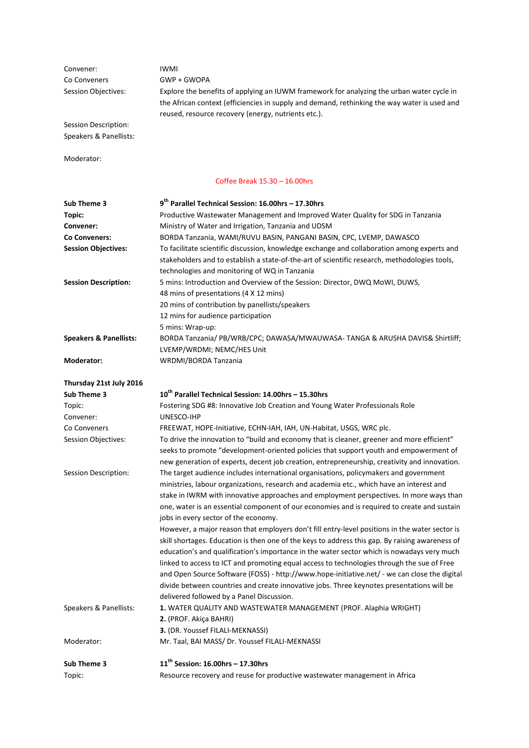| Convener:<br>Co Conveners         | <b>IWMI</b><br>GWP + GWOPA                                                                                                                                                          |
|-----------------------------------|-------------------------------------------------------------------------------------------------------------------------------------------------------------------------------------|
| Session Objectives:               | Explore the benefits of applying an IUWM framework for analyzing the urban water cycle in                                                                                           |
|                                   | the African context (efficiencies in supply and demand, rethinking the way water is used and                                                                                        |
|                                   | reused, resource recovery (energy, nutrients etc.).                                                                                                                                 |
| Session Description:              |                                                                                                                                                                                     |
| Speakers & Panellists:            |                                                                                                                                                                                     |
|                                   |                                                                                                                                                                                     |
| Moderator:                        |                                                                                                                                                                                     |
|                                   | Coffee Break 15.30 - 16.00hrs                                                                                                                                                       |
| Sub Theme 3                       | 9 <sup>th</sup> Parallel Technical Session: 16.00hrs - 17.30hrs                                                                                                                     |
| Topic:                            | Productive Wastewater Management and Improved Water Quality for SDG in Tanzania                                                                                                     |
| Convener:                         | Ministry of Water and Irrigation, Tanzania and UDSM                                                                                                                                 |
| Co Conveners:                     | BORDA Tanzania, WAMI/RUVU BASIN, PANGANI BASIN, CPC, LVEMP, DAWASCO                                                                                                                 |
| <b>Session Objectives:</b>        | To facilitate scientific discussion, knowledge exchange and collaboration among experts and                                                                                         |
|                                   | stakeholders and to establish a state-of-the-art of scientific research, methodologies tools,                                                                                       |
|                                   | technologies and monitoring of WQ in Tanzania                                                                                                                                       |
| <b>Session Description:</b>       | 5 mins: Introduction and Overview of the Session: Director, DWQ MoWI, DUWS,                                                                                                         |
|                                   | 48 mins of presentations (4 X 12 mins)                                                                                                                                              |
|                                   | 20 mins of contribution by panellists/speakers                                                                                                                                      |
|                                   | 12 mins for audience participation                                                                                                                                                  |
|                                   | 5 mins: Wrap-up:                                                                                                                                                                    |
| <b>Speakers &amp; Panellists:</b> | BORDA Tanzania/ PB/WRB/CPC; DAWASA/MWAUWASA-TANGA & ARUSHA DAVIS& Shirtliff;<br>LVEMP/WRDMI; NEMC/HES Unit                                                                          |
| Moderator:                        | WRDMI/BORDA Tanzania                                                                                                                                                                |
|                                   |                                                                                                                                                                                     |
| Thursday 21st July 2016           |                                                                                                                                                                                     |
| Sub Theme 3                       | 10 <sup>th</sup> Parallel Technical Session: 14.00hrs - 15.30hrs                                                                                                                    |
| Topic:                            | Fostering SDG #8: Innovative Job Creation and Young Water Professionals Role                                                                                                        |
| Convener:                         | UNESCO-IHP                                                                                                                                                                          |
| Co Conveners                      | FREEWAT, HOPE-Initiative, ECHN-IAH, IAH, UN-Habitat, USGS, WRC plc.                                                                                                                 |
| Session Objectives:               | To drive the innovation to "build and economy that is cleaner, greener and more efficient"<br>seeks to promote "development-oriented policies that support youth and empowerment of |
|                                   | new generation of experts, decent job creation, entrepreneurship, creativity and innovation.                                                                                        |
| Session Description:              | The target audience includes international organisations, policymakers and government                                                                                               |
|                                   | ministries, labour organizations, research and academia etc., which have an interest and                                                                                            |
|                                   | stake in IWRM with innovative approaches and employment perspectives. In more ways than                                                                                             |
|                                   | one, water is an essential component of our economies and is required to create and sustain                                                                                         |
|                                   | jobs in every sector of the economy.                                                                                                                                                |
|                                   | However, a major reason that employers don't fill entry-level positions in the water sector is                                                                                      |
|                                   | skill shortages. Education is then one of the keys to address this gap. By raising awareness of                                                                                     |
|                                   | education's and qualification's importance in the water sector which is nowadays very much                                                                                          |
|                                   | linked to access to ICT and promoting equal access to technologies through the sue of Free                                                                                          |
|                                   | and Open Source Software (FOSS) - http://www.hope-initiative.net/ - we can close the digital                                                                                        |
|                                   | divide between countries and create innovative jobs. Three keynotes presentations will be                                                                                           |
|                                   | delivered followed by a Panel Discussion.                                                                                                                                           |
| Speakers & Panellists:            | 1. WATER QUALITY AND WASTEWATER MANAGEMENT (PROF. Alaphia WRIGHT)                                                                                                                   |
|                                   | 2. (PROF. Akiça BAHRI)<br>3. (DR. Youssef FILALI-MEKNASSI)                                                                                                                          |
| Moderator:                        | Mr. Taal, BAI MASS/ Dr. Youssef FILALI-MEKNASSI                                                                                                                                     |
|                                   |                                                                                                                                                                                     |
| Sub Theme 3                       | $11th$ Session: 16.00hrs - 17.30hrs                                                                                                                                                 |
| Topic:                            | Resource recovery and reuse for productive wastewater management in Africa                                                                                                          |